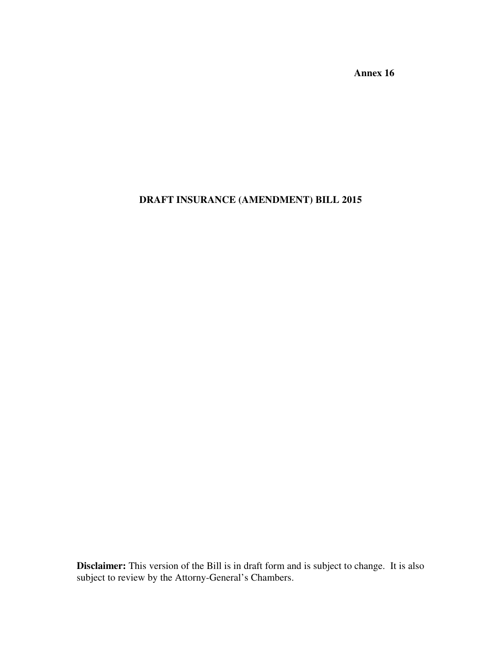**Annex 16** 

## **DRAFT INSURANCE (AMENDMENT) BILL 2015**

**Disclaimer:** This version of the Bill is in draft form and is subject to change. It is also subject to review by the Attorny-General's Chambers.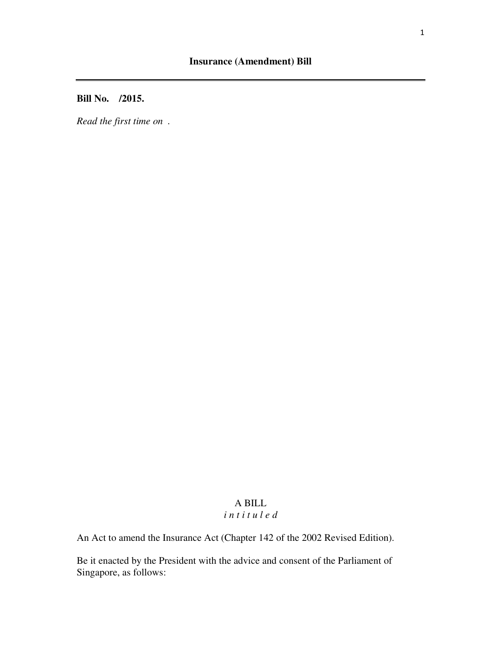**Bill No. /2015.** 

*Read the first time on .* 

# A BILL

## *i n t i t u l e d*

An Act to amend the Insurance Act (Chapter 142 of the 2002 Revised Edition).

Be it enacted by the President with the advice and consent of the Parliament of Singapore, as follows: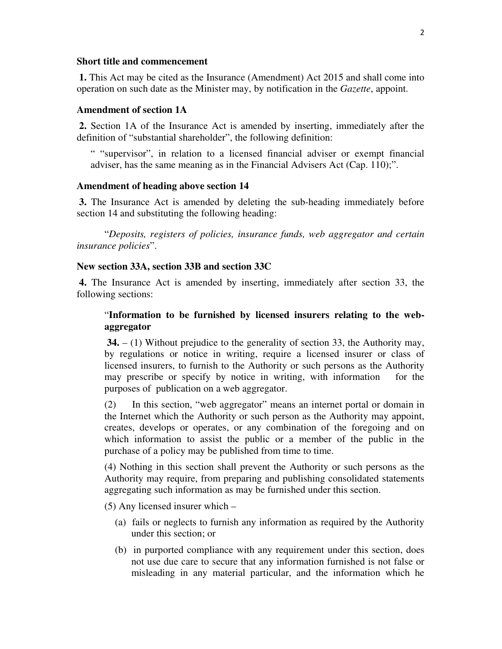#### **Short title and commencement**

 **1.** This Act may be cited as the Insurance (Amendment) Act 2015 and shall come into operation on such date as the Minister may, by notification in the *Gazette*, appoint.

#### **Amendment of section 1A**

 **2.** Section 1A of the Insurance Act is amended by inserting, immediately after the definition of "substantial shareholder", the following definition:

" "supervisor", in relation to a licensed financial adviser or exempt financial adviser, has the same meaning as in the Financial Advisers Act (Cap. 110);".

#### **Amendment of heading above section 14**

 **3.** The Insurance Act is amended by deleting the sub-heading immediately before section 14 and substituting the following heading:

 "*Deposits, registers of policies, insurance funds, web aggregator and certain insurance policies*".

#### **New section 33A, section 33B and section 33C**

 **4.** The Insurance Act is amended by inserting, immediately after section 33, the following sections:

## "**Information to be furnished by licensed insurers relating to the webaggregator**

 **34.** – (1) Without prejudice to the generality of section 33, the Authority may, by regulations or notice in writing, require a licensed insurer or class of licensed insurers, to furnish to the Authority or such persons as the Authority may prescribe or specify by notice in writing, with information for the purposes of publication on a web aggregator.

(2) In this section, "web aggregator" means an internet portal or domain in the Internet which the Authority or such person as the Authority may appoint, creates, develops or operates, or any combination of the foregoing and on which information to assist the public or a member of the public in the purchase of a policy may be published from time to time.

(4) Nothing in this section shall prevent the Authority or such persons as the Authority may require, from preparing and publishing consolidated statements aggregating such information as may be furnished under this section.

(5) Any licensed insurer which –

- (a) fails or neglects to furnish any information as required by the Authority under this section; or
- (b) in purported compliance with any requirement under this section, does not use due care to secure that any information furnished is not false or misleading in any material particular, and the information which he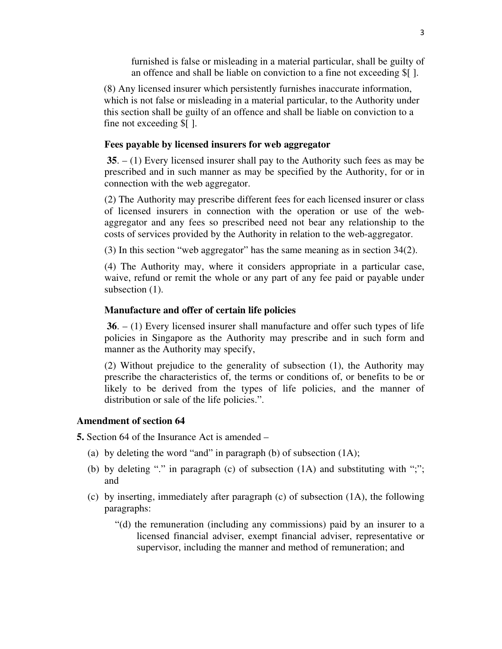furnished is false or misleading in a material particular, shall be guilty of an offence and shall be liable on conviction to a fine not exceeding \$[ ].

(8) Any licensed insurer which persistently furnishes inaccurate information, which is not false or misleading in a material particular, to the Authority under this section shall be guilty of an offence and shall be liable on conviction to a fine not exceeding \$[ ].

#### **Fees payable by licensed insurers for web aggregator**

 **35**. – (1) Every licensed insurer shall pay to the Authority such fees as may be prescribed and in such manner as may be specified by the Authority, for or in connection with the web aggregator.

(2) The Authority may prescribe different fees for each licensed insurer or class of licensed insurers in connection with the operation or use of the webaggregator and any fees so prescribed need not bear any relationship to the costs of services provided by the Authority in relation to the web-aggregator.

(3) In this section "web aggregator" has the same meaning as in section 34(2).

(4) The Authority may, where it considers appropriate in a particular case, waive, refund or remit the whole or any part of any fee paid or payable under subsection  $(1)$ .

#### **Manufacture and offer of certain life policies**

 **36**. – (1) Every licensed insurer shall manufacture and offer such types of life policies in Singapore as the Authority may prescribe and in such form and manner as the Authority may specify,

(2) Without prejudice to the generality of subsection (1), the Authority may prescribe the characteristics of, the terms or conditions of, or benefits to be or likely to be derived from the types of life policies, and the manner of distribution or sale of the life policies.".

#### **Amendment of section 64**

**5.** Section 64 of the Insurance Act is amended –

- (a) by deleting the word "and" in paragraph (b) of subsection (1A);
- (b) by deleting "." in paragraph (c) of subsection (1A) and substituting with ";"; and
- (c) by inserting, immediately after paragraph (c) of subsection (1A), the following paragraphs:
	- "(d) the remuneration (including any commissions) paid by an insurer to a licensed financial adviser, exempt financial adviser, representative or supervisor, including the manner and method of remuneration; and